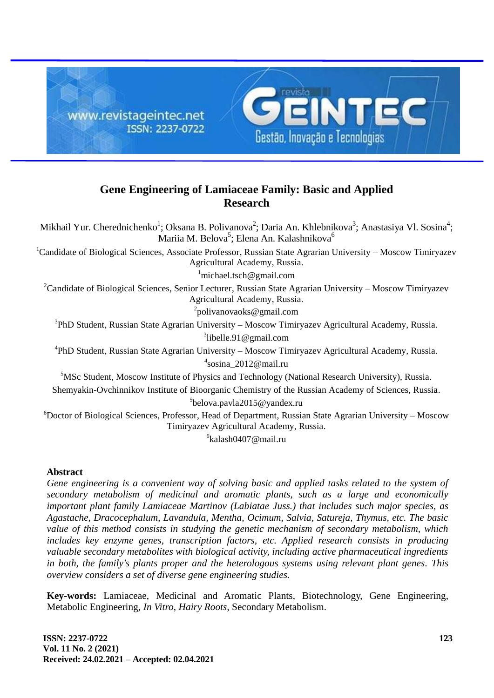

# **Gene Engineering of Lamiaceae Family: Basic and Applied Research**

Mikhail Yur. Cherednichenko<sup>1</sup>; Oksana B. Polivanova<sup>2</sup>; Daria An. Khlebnikova<sup>3</sup>; Anastasiya Vl. Sosina<sup>4</sup>; Mariia M. Belova<sup>5</sup>; Elena An. Kalashnikova<sup>6</sup> <sup>1</sup>Candidate of Biological Sciences, Associate Professor, Russian State Agrarian University – Moscow Timiryazev Agricultural Academy, Russia.  $1$ [michael.tsch@gmail.com](mailto:michael.tsch@gmail.com) <sup>2</sup>Candidate of Biological Sciences, Senior Lecturer, Russian State Agrarian University – Moscow Timiryazev Agricultural Academy, Russia. <sup>2</sup>[polivanovaoks@gmail.com](mailto:polivanovaoks@gmail.com) <sup>3</sup>PhD Student, Russian State Agrarian University – Moscow Timiryazev Agricultural Academy, Russia. <sup>3</sup>[libelle.91@gmail.com](mailto:libelle.91@gmail.com) 4 PhD Student, Russian State Agrarian University – Moscow Timiryazev Agricultural Academy, Russia. 4 [sosina\\_2012@mail.ru](mailto:sosina_2012@mail.ru) <sup>5</sup>MSc Student, Moscow Institute of Physics and Technology (National Research University), Russia. Shemyakin-Ovchinnikov Institute of Bioorganic Chemistry of the Russian Academy of Sciences, Russia. 5 [belova.pavla2015@yandex.ru](mailto:belova.pavla2015@yandex.ru) <sup>6</sup>Doctor of Biological Sciences, Professor, Head of Department, Russian State Agrarian University – Moscow Timiryazev Agricultural Academy, Russia. 6 [kalash0407@mail.ru](mailto:kalash0407@mail.ru)

## **Abstract**

*Gene engineering is a convenient way of solving basic and applied tasks related to the system of secondary metabolism of medicinal and aromatic plants, such as a large and economically important plant family Lamiaceae Martinov (Labiatae Juss.) that includes such major species, as Agastache, Dracocephalum, Lavandula, Mentha, Ocimum, Salvia, Satureja, Thymus, etc. The basic value of this method consists in studying the genetic mechanism of secondary metabolism, which includes key enzyme genes, transcription factors, etc. Applied research consists in producing valuable secondary metabolites with biological activity, including active pharmaceutical ingredients in both, the familyʹs plants proper and the heterologous systems using relevant plant genes. This overview considers a set of diverse gene engineering studies.*

**Key-words:** Lamiaceae, Medicinal and Aromatic Plants, Biotechnology, Gene Engineering, Metabolic Engineering*, In Vitro*, *Hairy Roots*, Secondary Metabolism.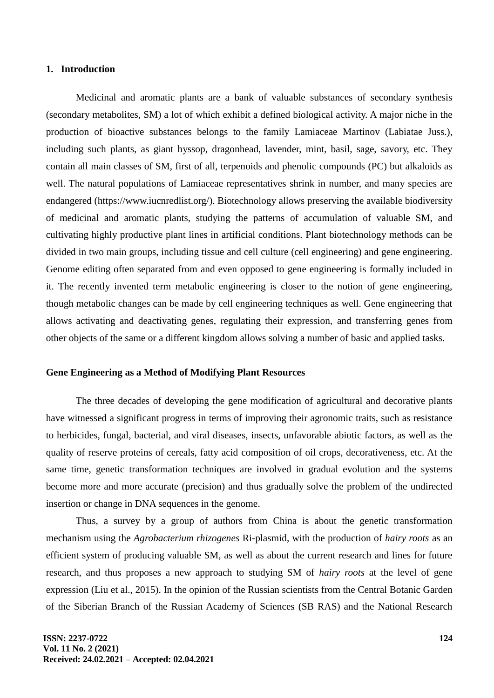#### **1. Introduction**

Medicinal and aromatic plants are a bank of valuable substances of secondary synthesis (secondary metabolites, SM) a lot of which exhibit a defined biological activity. A major niche in the production of bioactive substances belongs to the family Lamiaceae Martinov (Labiatae Juss.), including such plants, as giant hyssop, dragonhead, lavender, mint, basil, sage, savory, etc. They contain all main classes of SM, first of all, terpenoids and phenolic compounds (PC) but alkaloids as well. The natural populations of Lamiaceae representatives shrink in number, and many species are endangered [\(https://www.iucnredlist.org/\)](https://www.iucnredlist.org/). Biotechnology allows preserving the available biodiversity of medicinal and aromatic plants, studying the patterns of accumulation of valuable SM, and cultivating highly productive plant lines in artificial conditions. Plant biotechnology methods can be divided in two main groups, including tissue and cell culture (cell engineering) and gene engineering. Genome editing often separated from and even opposed to gene engineering is formally included in it. The recently invented term metabolic engineering is closer to the notion of gene engineering, though metabolic changes can be made by cell engineering techniques as well. Gene engineering that allows activating and deactivating genes, regulating their expression, and transferring genes from other objects of the same or a different kingdom allows solving a number of basic and applied tasks.

#### **Gene Engineering as a Method of Modifying Plant Resources**

The three decades of developing the gene modification of agricultural and decorative plants have witnessed a significant progress in terms of improving their agronomic traits, such as resistance to herbicides, fungal, bacterial, and viral diseases, insects, unfavorable abiotic factors, as well as the quality of reserve proteins of cereals, fatty acid composition of oil crops, decorativeness, etc. At the same time, genetic transformation techniques are involved in gradual evolution and the systems become more and more accurate (precision) and thus gradually solve the problem of the undirected insertion or change in DNA sequences in the genome.

Thus, a survey by a group of authors from China is about the genetic transformation mechanism using the *Agrobacterium rhizogenes* Ri-plasmid, with the production of *hairy roots* as an efficient system of producing valuable SM, as well as about the current research and lines for future research, and thus proposes a new approach to studying SM of *hairy roots* at the level of gene expression (Liu et al., 2015). In the opinion of the Russian scientists from the Central Botanic Garden of the Siberian Branch of the Russian Academy of Sciences (SB RAS) and the National Research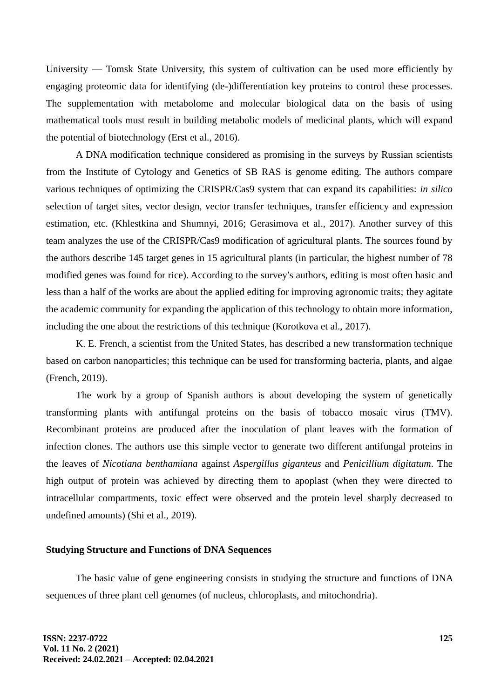University — Tomsk State University, this system of cultivation can be used more efficiently by engaging proteomic data for identifying (de-)differentiation key proteins to control these processes. The supplementation with metabolome and molecular biological data on the basis of using mathematical tools must result in building metabolic models of medicinal plants, which will expand the potential of biotechnology (Erst et al., 2016).

A DNA modification technique considered as promising in the surveys by Russian scientists from the Institute of Cytology and Genetics of SB RAS is genome editing. The authors compare various techniques of optimizing the CRISPR/Cas9 system that can expand its capabilities: *in silico* selection of target sites, vector design, vector transfer techniques, transfer efficiency and expression estimation, etc. (Khlestkina and Shumnyi, 2016; Gerasimova et al., 2017). Another survey of this team analyzes the use of the CRISPR/Cas9 modification of agricultural plants. The sources found by the authors describe 145 target genes in 15 agricultural plants (in particular, the highest number of 78 modified genes was found for rice). According to the surveyʹs authors, editing is most often basic and less than a half of the works are about the applied editing for improving agronomic traits; they agitate the academic community for expanding the application of this technology to obtain more information, including the one about the restrictions of this technique (Korotkova et al., 2017).

K. E. French, a scientist from the United States, has described a new transformation technique based on carbon nanoparticles; this technique can be used for transforming bacteria, plants, and algae (French, 2019).

The work by a group of Spanish authors is about developing the system of genetically transforming plants with antifungal proteins on the basis of tobacco mosaic virus (TMV). Recombinant proteins are produced after the inoculation of plant leaves with the formation of infection clones. The authors use this simple vector to generate two different antifungal proteins in the leaves of *Nicotiana benthamiana* against *Aspergillus giganteus* and *Penicillium digitatum*. The high output of protein was achieved by directing them to apoplast (when they were directed to intracellular compartments, toxic effect were observed and the protein level sharply decreased to undefined amounts) (Shi et al., 2019).

# **Studying Structure and Functions of DNA Sequences**

The basic value of gene engineering consists in studying the structure and functions of DNA sequences of three plant cell genomes (of nucleus, chloroplasts, and mitochondria).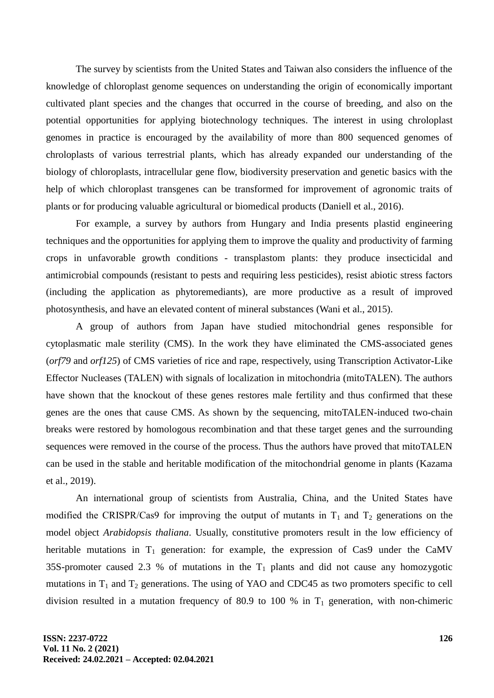The survey by scientists from the United States and Taiwan also considers the influence of the knowledge of chloroplast genome sequences on understanding the origin of economically important cultivated plant species and the changes that occurred in the course of breeding, and also on the potential opportunities for applying biotechnology techniques. The interest in using chroloplast genomes in practice is encouraged by the availability of more than 800 sequenced genomes of chroloplasts of various terrestrial plants, which has already expanded our understanding of the biology of chloroplasts, intracellular gene flow, biodiversity preservation and genetic basics with the help of which chloroplast transgenes can be transformed for improvement of agronomic traits of plants or for producing valuable agricultural or biomedical products (Daniell et al., 2016).

For example, a survey by authors from Hungary and India presents plastid engineering techniques and the opportunities for applying them to improve the quality and productivity of farming crops in unfavorable growth conditions - transplastom plants: they produce insecticidal and antimicrobial compounds (resistant to pests and requiring less pesticides), resist abiotic stress factors (including the application as phytoremediants), are more productive as a result of improved photosynthesis, and have an elevated content of mineral substances (Wani et al., 2015).

A group of authors from Japan have studied mitochondrial genes responsible for cytoplasmatic male sterility (CMS). In the work they have eliminated the CMS-associated genes (*orf79* and *orf125*) of CMS varieties of rice and rape, respectively, using Transcription Activator-Like Effector Nucleases (TALEN) with signals of localization in mitochondria (mitoTALEN). The authors have shown that the knockout of these genes restores male fertility and thus confirmed that these genes are the ones that cause CMS. As shown by the sequencing, mitoTALEN-induced two-chain breaks were restored by homologous recombination and that these target genes and the surrounding sequences were removed in the course of the process. Thus the authors have proved that mitoTALEN can be used in the stable and heritable modification of the mitochondrial genome in plants (Kazama et al., 2019).

An international group of scientists from Australia, China, and the United States have modified the CRISPR/Cas9 for improving the output of mutants in  $T_1$  and  $T_2$  generations on the model object *Arabidopsis thaliana*. Usually, constitutive promoters result in the low efficiency of heritable mutations in  $T_1$  generation: for example, the expression of Cas9 under the CaMV 35S-promoter caused 2.3 % of mutations in the  $T_1$  plants and did not cause any homozygotic mutations in  $T_1$  and  $T_2$  generations. The using of YAO and CDC45 as two promoters specific to cell division resulted in a mutation frequency of 80.9 to 100 % in  $T_1$  generation, with non-chimeric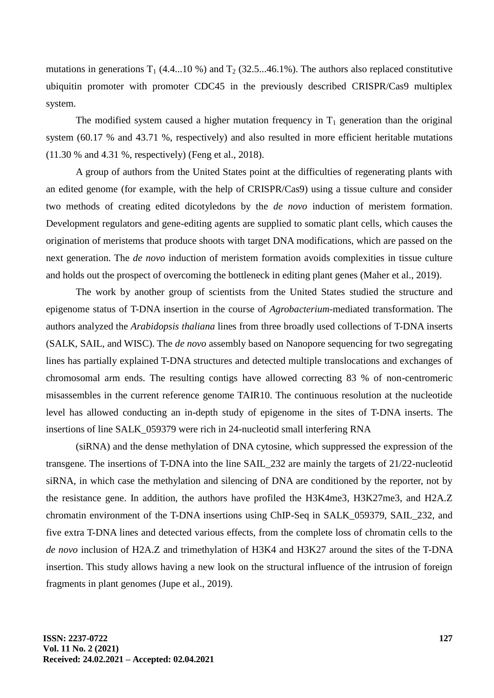mutations in generations  $T_1$  (4.4...10 %) and  $T_2$  (32.5...46.1%). The authors also replaced constitutive ubiquitin promoter with promoter CDC45 in the previously described CRISPR/Cas9 multiplex system.

The modified system caused a higher mutation frequency in  $T_1$  generation than the original system (60.17 % and 43.71 %, respectively) and also resulted in more efficient heritable mutations (11.30 % and 4.31 %, respectively) (Feng et al., 2018).

A group of authors from the United States point at the difficulties of regenerating plants with an edited genome (for example, with the help of CRISPR/Cas9) using a tissue culture and consider two methods of creating edited dicotyledons by the *de novo* induction of meristem formation. Development regulators and gene-editing agents are supplied to somatic plant cells, which causes the origination of meristems that produce shoots with target DNA modifications, which are passed on the next generation. The *de novo* induction of meristem formation avoids complexities in tissue culture and holds out the prospect of overcoming the bottleneck in editing plant genes (Maher et al., 2019).

The work by another group of scientists from the United States studied the structure and epigenome status of T-DNA insertion in the course of *Agrobacterium*-mediated transformation. The authors analyzed the *Arabidopsis thaliana* lines from three broadly used collections of T-DNA inserts (SALK, SAIL, and WISC). The *de novo* assembly based on Nanopore sequencing for two segregating lines has partially explained T-DNA structures and detected multiple translocations and exchanges of chromosomal arm ends. The resulting contigs have allowed correcting 83 % of non-centromeric misassembles in the current reference genome TAIR10. The continuous resolution at the nucleotide level has allowed conducting an in-depth study of epigenome in the sites of T-DNA inserts. The insertions of line SALK\_059379 were rich in 24-nucleotid small interfering RNA

(siRNA) and the dense methylation of DNA cytosine, which suppressed the expression of the transgene. The insertions of T-DNA into the line SAIL\_232 are mainly the targets of 21/22-nucleotid siRNA, in which case the methylation and silencing of DNA are conditioned by the reporter, not by the resistance gene. In addition, the authors have profiled the H3K4me3, H3K27me3, and H2A.Z chromatin environment of the T-DNA insertions using ChIP-Seq in SALK\_059379, SAIL\_232, and five extra T-DNA lines and detected various effects, from the complete loss of chromatin cells to the *de novo* inclusion of H2A.Z and trimethylation of H3K4 and H3K27 around the sites of the T-DNA insertion. This study allows having a new look on the structural influence of the intrusion of foreign fragments in plant genomes (Jupe et al., 2019).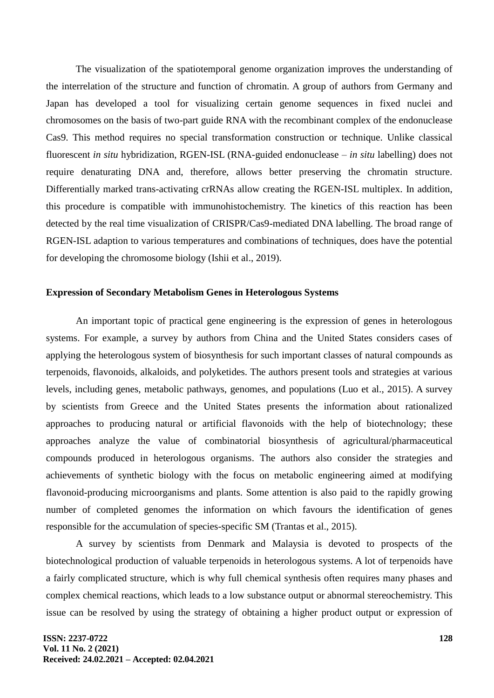The visualization of the spatiotemporal genome organization improves the understanding of the interrelation of the structure and function of chromatin. A group of authors from Germany and Japan has developed a tool for visualizing certain genome sequences in fixed nuclei and chromosomes on the basis of two-part guide RNA with the recombinant complex of the endonuclease Cas9. This method requires no special transformation construction or technique. Unlike classical fluorescent *in situ* hybridization, RGEN-ISL (RNA-guided endonuclease – *in situ* labelling) does not require denaturating DNA and, therefore, allows better preserving the chromatin structure. Differentially marked trans-activating crRNAs allow creating the RGEN-ISL multiplex. In addition, this procedure is compatible with immunohistochemistry. The kinetics of this reaction has been detected by the real time visualization of CRISPR/Cas9-mediated DNA labelling. The broad range of RGEN-ISL adaption to various temperatures and combinations of techniques, does have the potential for developing the chromosome biology (Ishii et al., 2019).

#### **Expression of Secondary Metabolism Genes in Heterologous Systems**

An important topic of practical gene engineering is the expression of genes in heterologous systems. For example, a survey by authors from China and the United States considers cases of applying the heterologous system of biosynthesis for such important classes of natural compounds as terpenoids, flavonoids, alkaloids, and polyketides. The authors present tools and strategies at various levels, including genes, metabolic pathways, genomes, and populations (Luo et al., 2015). A survey by scientists from Greece and the United States presents the information about rationalized approaches to producing natural or artificial flavonoids with the help of biotechnology; these approaches analyze the value of combinatorial biosynthesis of agricultural/pharmaceutical compounds produced in heterologous organisms. The authors also consider the strategies and achievements of synthetic biology with the focus on metabolic engineering aimed at modifying flavonoid-producing microorganisms and plants. Some attention is also paid to the rapidly growing number of completed genomes the information on which favours the identification of genes responsible for the accumulation of species-specific SM (Trantas et al., 2015).

A survey by scientists from Denmark and Malaysia is devoted to prospects of the biotechnological production of valuable terpenoids in heterologous systems. A lot of terpenoids have a fairly complicated structure, which is why full chemical synthesis often requires many phases and complex chemical reactions, which leads to a low substance output or abnormal stereochemistry. This issue can be resolved by using the strategy of obtaining a higher product output or expression of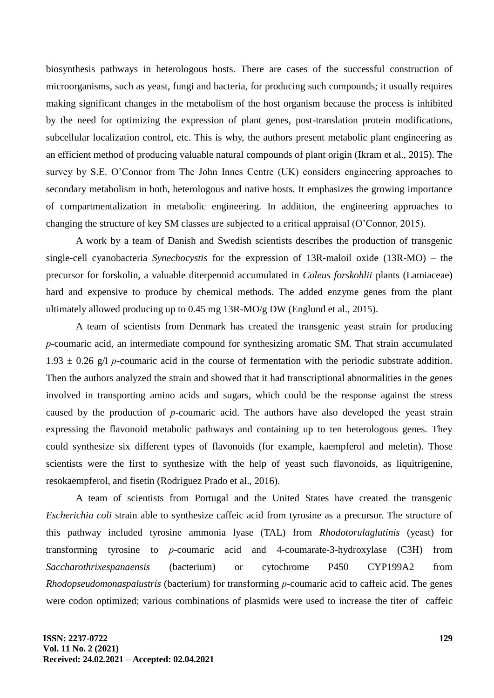biosynthesis pathways in heterologous hosts. There are cases of the successful construction of microorganisms, such as yeast, fungi and bacteria, for producing such compounds; it usually requires making significant changes in the metabolism of the host organism because the process is inhibited by the need for optimizing the expression of plant genes, post-translation protein modifications, subcellular localization control, etc. This is why, the authors present metabolic plant engineering as an efficient method of producing valuable natural compounds of plant origin (Ikram et al., 2015). The survey by S.E. O'Connor from The John Innes Centre (UK) considers engineering approaches to secondary metabolism in both, heterologous and native hosts. It emphasizes the growing importance of compartmentalization in metabolic engineering. In addition, the engineering approaches to changing the structure of key SM classes are subjected to a critical appraisal (O'Connor, 2015).

A work by a team of Danish and Swedish scientists describes the production of transgenic single-cell cyanobacteria *Synechocystis* for the expression of 13R-maloil oxide (13R-MO) – the precursor for forskolin, a valuable diterpenoid accumulated in *Coleus forskohlii* plants (Lamiaceae) hard and expensive to produce by chemical methods. The added enzyme genes from the plant ultimately allowed producing up to 0.45 mg 13R-MO/g DW (Englund et al., 2015).

A team of scientists from Denmark has created the transgenic yeast strain for producing *р*-coumaric acid, an intermediate compound for synthesizing aromatic SM. That strain accumulated  $1.93 \pm 0.26$  g/l *p*-coumaric acid in the course of fermentation with the periodic substrate addition. Then the authors analyzed the strain and showed that it had transcriptional abnormalities in the genes involved in transporting amino acids and sugars, which could be the response against the stress caused by the production of *р*-coumaric acid. The authors have also developed the yeast strain expressing the flavonoid metabolic pathways and containing up to ten heterologous genes. They could synthesize six different types of flavonoids (for example, kaempferol and meletin). Those scientists were the first to synthesize with the help of yeast such flavonoids, as liquitrigenine, resokaempferol, and fisetin (Rodriguez Prado et al., 2016).

A team of scientists from Portugal and the United States have created the transgenic *Escherichia coli* strain able to synthesize caffeic acid from tyrosine as a precursor. The structure of this pathway included tyrosine ammonia lyase (TAL) from *Rhodotorulaglutinis* (yeast) for transforming tyrosine to *р*-coumaric acid and 4-coumarate-3-hydroxylase (C3H) from *Saccharothrixespanaensis* (bacterium) or cytochrome P450 CYP199A2 from *Rhodopseudomonaspalustris* (bacterium) for transforming *р*-coumaric acid to caffeic acid. The genes were codon optimized; various combinations of plasmids were used to increase the titer of caffeic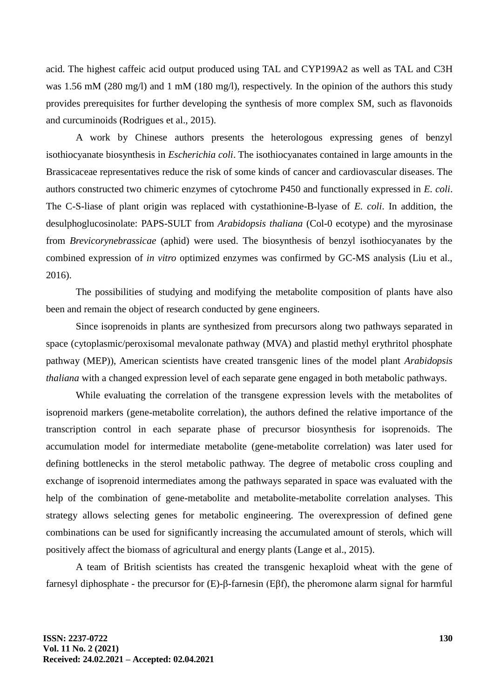acid. The highest caffeic acid output produced using TAL and CYP199A2 as well as TAL and C3H was 1.56 mM (280 mg/l) and 1 mM (180 mg/l), respectively. In the opinion of the authors this study provides prerequisites for further developing the synthesis of more complex SM, such as flavonoids and curcuminoids (Rodrigues et al., 2015).

A work by Chinese authors presents the heterologous expressing genes of benzyl isothiocyanate biosynthesis in *Escherichia coli*. The isothiocyanates contained in large amounts in the Brassicaceae representatives reduce the risk of some kinds of cancer and cardiovascular diseases. The authors constructed two chimeric enzymes of cytochrome P450 and functionally expressed in *E. coli*. The C-S-liase of plant origin was replaced with cystathionine-B-lyase of *E. coli*. In addition, the desulphoglucosinolate: PAPS-SULT from *Arabidopsis thaliana* (Col-0 ecotype) and the myrosinase from *Brevicorynebrassicae* (aphid) were used. The biosynthesis of benzyl isothiocyanates by the combined expression of *in vitro* optimized enzymes was confirmed by GC-MS analysis (Liu et al., 2016).

The possibilities of studying and modifying the metabolite composition of plants have also been and remain the object of research conducted by gene engineers.

Since isoprenoids in plants are synthesized from precursors along two pathways separated in space (cytoplasmic/peroxisomal mevalonate pathway (MVA) and plastid methyl erythritol phosphate pathway (MEP)), American scientists have created transgenic lines of the model plant *Arabidopsis thaliana* with a changed expression level of each separate gene engaged in both metabolic pathways.

While evaluating the correlation of the transgene expression levels with the metabolites of isoprenoid markers (gene-metabolite correlation), the authors defined the relative importance of the transcription control in each separate phase of precursor biosynthesis for isoprenoids. The accumulation model for intermediate metabolite (gene-metabolite correlation) was later used for defining bottlenecks in the sterol metabolic pathway. The degree of metabolic cross coupling and exchange of isoprenoid intermediates among the pathways separated in space was evaluated with the help of the combination of gene-metabolite and metabolite-metabolite correlation analyses. This strategy allows selecting genes for metabolic engineering. The overexpression of defined gene combinations can be used for significantly increasing the accumulated amount of sterols, which will positively affect the biomass of agricultural and energy plants (Lange et al., 2015).

A team of British scientists has created the transgenic hexaploid wheat with the gene of farnesyl diphosphate - the precursor for (E)-β-farnesin (Eβf), the pheromone alarm signal for harmful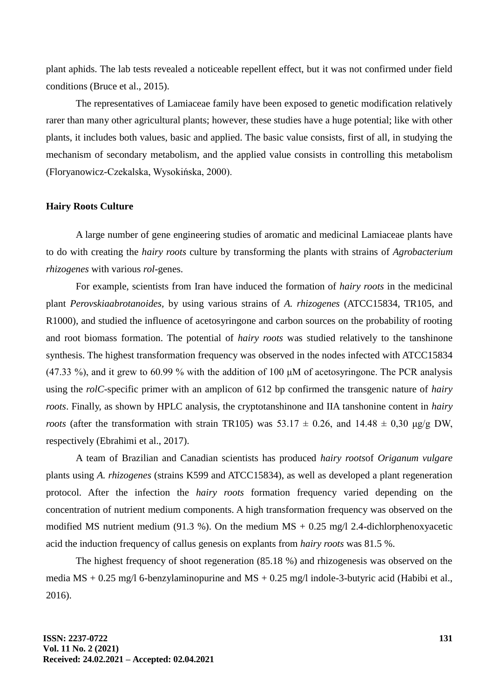plant aphids. The lab tests revealed a noticeable repellent effect, but it was not confirmed under field conditions (Bruce et al., 2015).

The representatives of Lamiaceae family have been exposed to genetic modification relatively rarer than many other agricultural plants; however, these studies have a huge potential; like with other plants, it includes both values, basic and applied. The basic value consists, first of all, in studying the mechanism of secondary metabolism, and the applied value consists in controlling this metabolism (Floryanowicz-Czekalska, Wysokińska, 2000).

#### **Hairy Roots Culture**

A large number of gene engineering studies of aromatic and medicinal Lamiaceae plants have to do with creating the *hairy roots* culture by transforming the plants with strains of *Agrobacterium rhizogenes* with various *rol*-genes.

For example, scientists from Iran have induced the formation of *hairy roots* in the medicinal plant *Perovskiaabrotanoides,* by using various strains of *A. rhizogenes* (ATCC15834, TR105, and R1000), and studied the influence of acetosyringone and carbon sources on the probability of rooting and root biomass formation. The potential of *hairy roots* was studied relatively to the tanshinone synthesis. The highest transformation frequency was observed in the nodes infected with ATCC15834 (47.33 %), and it grew to 60.99 % with the addition of 100 μM of acetosyringone. The PCR analysis using the *rolC*-specific primer with an amplicon of 612 bp confirmed the transgenic nature of *hairy roots*. Finally, as shown by HPLC analysis, the cryptotanshinone and IIA tanshonine content in *hairy roots* (after the transformation with strain TR105) was  $53.17 \pm 0.26$ , and  $14.48 \pm 0.30$   $\mu$ g/g DW, respectively (Ebrahimi et al., 2017).

A team of Brazilian and Canadian scientists has produced *hairy roots*of *Origanum vulgare* plants using *A. rhizogenes* (strains K599 and ATCC15834), as well as developed a plant regeneration protocol. After the infection the *hairy roots* formation frequency varied depending on the concentration of nutrient medium components. A high transformation frequency was observed on the modified MS nutrient medium (91.3 %). On the medium MS  $+$  0.25 mg/l 2.4-dichlorphenoxyacetic acid the induction frequency of callus genesis on explants from *hairy roots* was 81.5 %.

The highest frequency of shoot regeneration (85.18 %) and rhizogenesis was observed on the media  $\text{MS} + 0.25 \text{ mg}/16$ -benzylaminopurine and  $\text{MS} + 0.25 \text{ mg}/1$  indole-3-butyric acid (Habibi et al., 2016).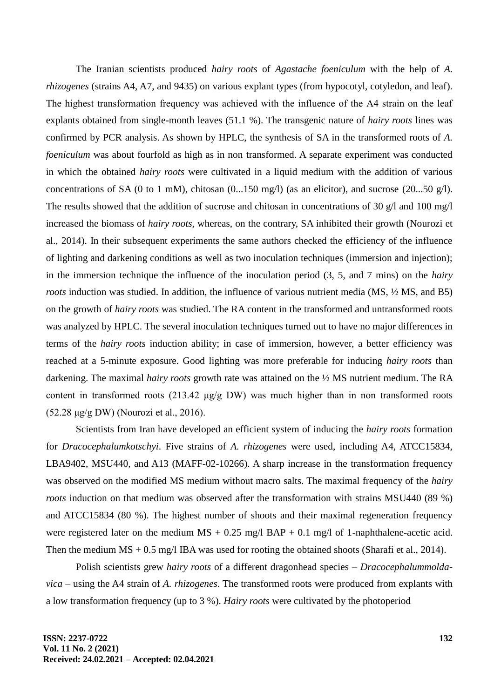The Iranian scientists produced *hairy roots* of *Agastache foeniculum* with the help of *A. rhizogenes* (strains A4, A7, and 9435) on various explant types (from hypocotyl, cotyledon, and leaf). The highest transformation frequency was achieved with the influence of the A4 strain on the leaf explants obtained from single-month leaves (51.1 %). The transgenic nature of *hairy roots* lines was confirmed by PCR analysis. As shown by HPLC, the synthesis of SA in the transformed roots of *A. foeniculum* was about fourfold as high as in non transformed. A separate experiment was conducted in which the obtained *hairy roots* were cultivated in a liquid medium with the addition of various concentrations of SA (0 to 1 mM), chitosan (0...150 mg/l) (as an elicitor), and sucrose (20...50 g/l). The results showed that the addition of sucrose and chitosan in concentrations of 30 g/l and 100 mg/l increased the biomass of *hairy roots*, whereas, on the contrary, SA inhibited their growth (Nourozi et al., 2014). In their subsequent experiments the same authors checked the efficiency of the influence of lighting and darkening conditions as well as two inoculation techniques (immersion and injection); in the immersion technique the influence of the inoculation period (3, 5, and 7 mins) on the *hairy roots* induction was studied. In addition, the influence of various nutrient media (MS, ½ MS, and B5) on the growth of *hairy roots* was studied. The RA content in the transformed and untransformed roots was analyzed by HPLC. The several inoculation techniques turned out to have no major differences in terms of the *hairy roots* induction ability; in case of immersion, however, a better efficiency was reached at a 5-minute exposure. Good lighting was more preferable for inducing *hairy roots* than darkening. The maximal *hairy roots* growth rate was attained on the ½ MS nutrient medium. The RA content in transformed roots (213.42 μg/g DW) was much higher than in non transformed roots (52.28 μg/g DW) (Nourozi et al., 2016).

Scientists from Iran have developed an efficient system of inducing the *hairy roots* formation for *Dracocephalumkotschyi*. Five strains of *A. rhizogenes* were used, including A4, ATCC15834, LBA9402, MSU440, and A13 (MAFF-02-10266). A sharp increase in the transformation frequency was observed on the modified MS medium without macro salts. The maximal frequency of the *hairy roots* induction on that medium was observed after the transformation with strains MSU440 (89 %) and ATCC15834 (80 %). The highest number of shoots and their maximal regeneration frequency were registered later on the medium  $MS + 0.25$  mg/l  $BAP + 0.1$  mg/l of 1-naphthalene-acetic acid. Then the medium  $MS + 0.5$  mg/l IBA was used for rooting the obtained shoots (Sharafi et al., 2014).

Polish scientists grew *hairy roots* of a different dragonhead species – *Dracocephalummoldavica* – using the A4 strain of *A. rhizogenes*. The transformed roots were produced from explants with a low transformation frequency (up to 3 %). *Hairy roots* were cultivated by the photoperiod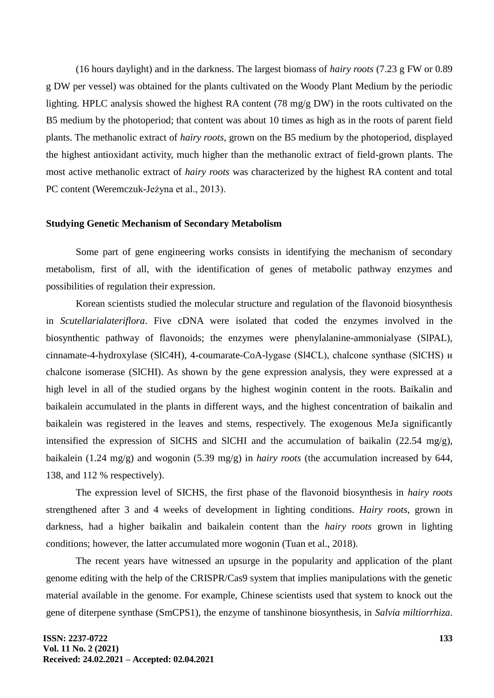(16 hours daylight) and in the darkness. The largest biomass of *hairy roots* (7.23 g FW or 0.89 g DW per vessel) was obtained for the plants cultivated on the Woody Plant Medium by the periodic lighting. HPLC analysis showed the highest RA content (78 mg/g DW) in the roots cultivated on the B5 medium by the photoperiod; that content was about 10 times as high as in the roots of parent field plants. The methanolic extract of *hairy roots*, grown on the B5 medium by the photoperiod, displayed the highest antioxidant activity, much higher than the methanolic extract of field-grown plants. The most active methanolic extract of *hairy roots* was characterized by the highest RA content and total PC content (Weremczuk-Jeżyna et al., 2013).

#### **Studying Genetic Mechanism of Secondary Metabolism**

Some part of gene engineering works consists in identifying the mechanism of secondary metabolism, first of all, with the identification of genes of metabolic pathway enzymes and possibilities of regulation their expression.

Korean scientists studied the molecular structure and regulation of the flavonoid biosynthesis in *Scutellarialateriflora*. Five cDNA were isolated that coded the enzymes involved in the biosynthentic pathway of flavonoids; the enzymes were phenylalanine-ammonialyase (SlPAL), cinnamate-4-hydroxylase (SlC4H), 4-coumarate-CoA-lygase (Sl4CL), chalсone synthase (SlCHS) и chalcone isomerase (SlCHI). As shown by the gene expression analysis, they were expressed at a high level in all of the studied organs by the highest woginin content in the roots. Baikalin and baikalein accumulated in the plants in different ways, and the highest concentration of baikalin and baikalein was registered in the leaves and stems, respectively. The exogenous MeJa significantly intensified the expression of SlCHS and SlCHI and the accumulation of baikalin  $(22.54 \text{ mg/g})$ , baikalein (1.24 mg/g) and wogonin (5.39 mg/g) in *hairy roots* (the accumulation increased by 644, 138, and 112 % respectively).

The expression level of SICHS, the first phase of the flavonoid biosynthesis in *hairy roots*  strengthened after 3 and 4 weeks of development in lighting conditions. *Hairy roots*, grown in darkness, had a higher baikalin and baikalein content than the *hairy roots* grown in lighting conditions; however, the latter accumulated more wogonin (Tuan et al., 2018).

The recent years have witnessed an upsurge in the popularity and application of the plant genome editing with the help of the CRISPR/Cas9 system that implies manipulations with the genetic material available in the genome. For example, Chinese scientists used that system to knock out the gene of diterpene synthase (SmCPS1), the enzyme of tanshinone biosynthesis, in *Salvia miltiorrhiza*.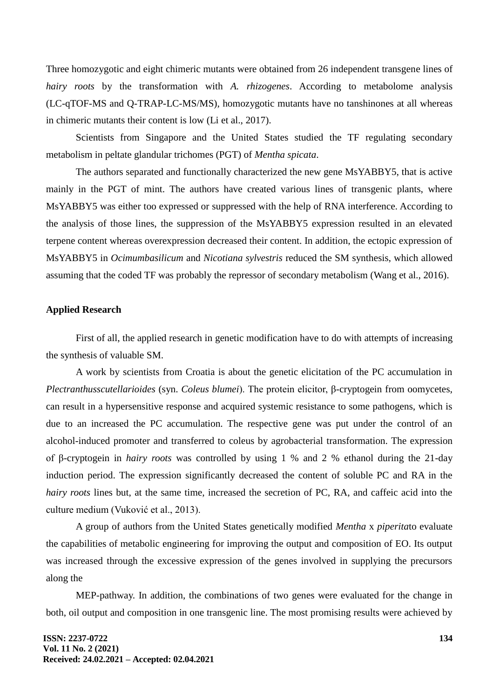Three homozygotic and eight chimeric mutants were obtained from 26 independent transgene lines of *hairy roots* by the transformation with *A. rhizogenes*. According to metabolome analysis (LC-qTOF-MS and Q-TRAP-LC-MS/MS), homozygotic mutants have no tanshinones at all whereas in chimeric mutants their content is low (Li et al., 2017).

Scientists from Singapore and the United States studied the TF regulating secondary metabolism in peltate glandular trichomes (PGT) of *Mentha spicata*.

The authors separated and functionally characterized the new gene MsYABBY5, that is active mainly in the PGT of mint. The authors have created various lines of transgenic plants, where MsYABBY5 was either too expressed or suppressed with the help of RNA interference. According to the analysis of those lines, the suppression of the MsYABBY5 expression resulted in an elevated terpene content whereas overexpression decreased their content. In addition, the ectopic expression of MsYABBY5 in *Ocimumbasilicum* and *Nicotiana sylvestris* reduced the SM synthesis, which allowed assuming that the coded TF was probably the repressor of secondary metabolism (Wang et al., 2016).

#### **Applied Research**

First of all, the applied research in genetic modification have to do with attempts of increasing the synthesis of valuable SM.

A work by scientists from Croatia is about the genetic elicitation of the PC accumulation in *Plectranthusscutellarioides* (syn. *Coleus blumei*). The protein elicitor, β-cryptogein from oomycetes, can result in a hypersensitive response and acquired systemic resistance to some pathogens, which is due to an increased the PC accumulation. The respective gene was put under the control of an alcohol-induced promoter and transferred to coleus by agrobacterial transformation. The expression of β-cryptogein in *hairy roots* was controlled by using 1 % and 2 % ethanol during the 21-day induction period. The expression significantly decreased the content of soluble PC and RA in the *hairy roots* lines but, at the same time, increased the secretion of PC, RA, and caffeic acid into the culture medium (Vuković et al., 2013).

A group of authors from the United States genetically modified *Mentha* x *piperita*to evaluate the capabilities of metabolic engineering for improving the output and composition of EO. Its output was increased through the excessive expression of the genes involved in supplying the precursors along the

MEP-pathway. In addition, the combinations of two genes were evaluated for the change in both, oil output and composition in one transgenic line. The most promising results were achieved by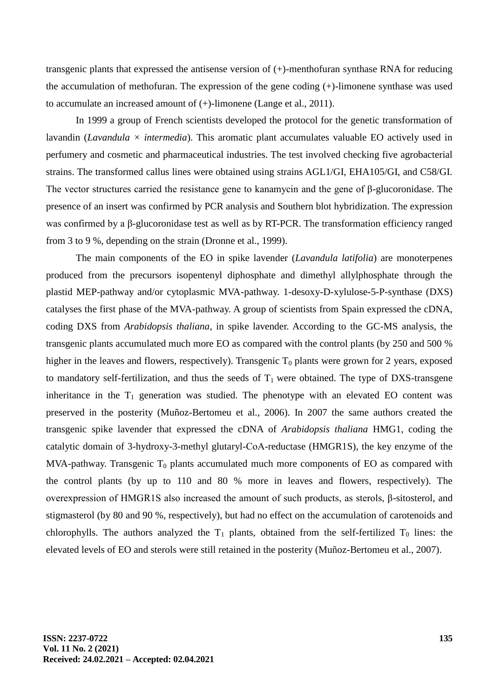transgenic plants that expressed the antisense version of (+)-menthofuran synthase RNA for reducing the accumulation of methofuran. The expression of the gene coding (+)-limonene synthase was used to accumulate an increased amount of (+)-limonene (Lange et al., 2011).

In 1999 a group of French scientists developed the protocol for the genetic transformation of lavandin (*Lavandula*  $\times$  *intermedia*). This aromatic plant accumulates valuable EO actively used in perfumery and cosmetic and pharmaceutical industries. The test involved checking five agrobacterial strains. The transformed callus lines were obtained using strains AGL1/GI, EHA105/GI, and C58/GI. The vector structures carried the resistance gene to kanamycin and the gene of β-glucoronidase. The presence of an insert was confirmed by PCR analysis and Southern blot hybridization. The expression was confirmed by a β-glucoronidase test as well as by RT-PCR. The transformation efficiency ranged from 3 to 9 %, depending on the strain (Dronne et al., 1999).

The main components of the EO in spike lavender (*Lavandula latifolia*) are monoterpenes produced from the precursors isopentenyl diphosphate and dimethyl allylphosphate through the plastid MEP-pathway and/or cytoplasmic MVA-pathway. 1-desoxy-D-xylulose-5-P-synthase (DXS) catalyses the first phase of the MVA-pathway. A group of scientists from Spain expressed the cDNA, coding DXS from *Arabidopsis thaliana*, in spike lavender. According to the GC-MS analysis, the transgenic plants accumulated much more EO as compared with the control plants (by 250 and 500 % higher in the leaves and flowers, respectively). Transgenic  $T_0$  plants were grown for 2 years, exposed to mandatory self-fertilization, and thus the seeds of  $T_1$  were obtained. The type of DXS-transgene inheritance in the  $T_1$  generation was studied. The phenotype with an elevated EO content was preserved in the posterity (Muñoz-Bertomeu et al., 2006). In 2007 the same authors created the transgenic spike lavender that expressed the cDNA of *Arabidopsis thaliana* HMG1, coding the catalytic domain of 3-hydroxy-3-methyl glutaryl-СоА-reductase (HMGR1S), the key enzyme of the MVA-pathway. Transgenic  $T_0$  plants accumulated much more components of EO as compared with the control plants (by up to 110 and 80 % more in leaves and flowers, respectively). The overexpression of HMGR1S also increased the amount of such products, as sterols, β-sitosterol, and stigmasterol (by 80 and 90 %, respectively), but had no effect on the accumulation of carotenoids and chlorophylls. The authors analyzed the  $T_1$  plants, obtained from the self-fertilized  $T_0$  lines: the elevated levels of EO and sterols were still retained in the posterity (Muñoz-Bertomeu et al., 2007).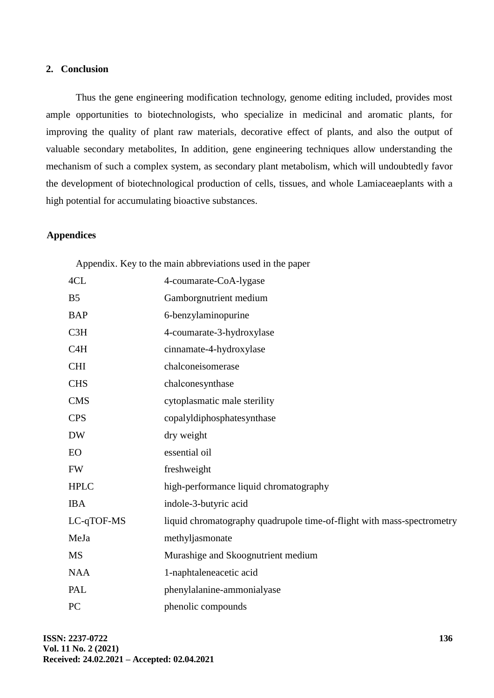## **2. Conclusion**

Thus the gene engineering modification technology, genome editing included, provides most ample opportunities to biotechnologists, who specialize in medicinal and aromatic plants, for improving the quality of plant raw materials, decorative effect of plants, and also the output of valuable secondary metabolites, In addition, gene engineering techniques allow understanding the mechanism of such a complex system, as secondary plant metabolism, which will undoubtedly favor the development of biotechnological production of cells, tissues, and whole Lamiaceaeplants with a high potential for accumulating bioactive substances.

## **Appendices**

|                  | Appendix. Key to the main abbreviations used in the paper              |
|------------------|------------------------------------------------------------------------|
| 4CL              | 4-coumarate-CoA-lygase                                                 |
| B <sub>5</sub>   | Gamborgnutrient medium                                                 |
| <b>BAP</b>       | 6-benzylaminopurine                                                    |
| C <sub>3H</sub>  | 4-coumarate-3-hydroxylase                                              |
| C <sub>4</sub> H | cinnamate-4-hydroxylase                                                |
| <b>CHI</b>       | chalconeisomerase                                                      |
| <b>CHS</b>       | chalconesynthase                                                       |
| <b>CMS</b>       | cytoplasmatic male sterility                                           |
| <b>CPS</b>       | copalyldiphosphatesynthase                                             |
| <b>DW</b>        | dry weight                                                             |
| EO               | essential oil                                                          |
| <b>FW</b>        | freshweight                                                            |
| <b>HPLC</b>      | high-performance liquid chromatography                                 |
| <b>IBA</b>       | indole-3-butyric acid                                                  |
| LC-qTOF-MS       | liquid chromatography quadrupole time-of-flight with mass-spectrometry |
| MeJa             | methyljasmonate                                                        |
| <b>MS</b>        | Murashige and Skoognutrient medium                                     |
| <b>NAA</b>       | 1-naphtaleneacetic acid                                                |
| PAL              | phenylalanine-ammonialyase                                             |
| PC               | phenolic compounds                                                     |

**ISSN: 2237-0722 Vol. 11 No. 2 (2021) Received: 24.02.2021 – Accepted: 02.04.2021**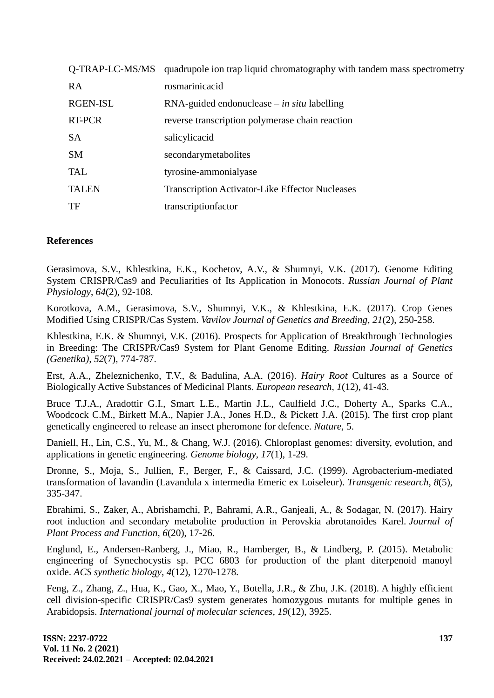| Q-TRAP-LC-MS/MS | quadrupole ion trap liquid chromatography with tandem mass spectrometry |
|-----------------|-------------------------------------------------------------------------|
| <b>RA</b>       | rosmarinicacid                                                          |
| RGEN-ISL        | $RNA$ -guided endonuclease – in situ labelling                          |
| <b>RT-PCR</b>   | reverse transcription polymerase chain reaction                         |
| <b>SA</b>       | salicylicacid                                                           |
| <b>SM</b>       | secondarymetabolites                                                    |
| <b>TAL</b>      | tyrosine-ammonialyase                                                   |
| <b>TALEN</b>    | <b>Transcription Activator-Like Effector Nucleases</b>                  |
| TF              | transcriptionfactor                                                     |

## **References**

Gerasimova, S.V., Khlestkina, E.K., Kochetov, A.V., & Shumnyi, V.K. (2017). Genome Editing System CRISPR/Cas9 and Peculiarities of Its Application in Monocots. *Russian Journal of Plant Physiology*, *64*(2), 92-108.

Korotkova, A.M., Gerasimova, S.V., Shumnyi, V.K., & Khlestkina, E.K. (2017). Crop Genes Modified Using CRISPR/Cas System. *Vavilov Journal of Genetics and Breeding*, *21*(2), 250-258.

Khlestkina, E.K. & Shumnyi, V.K. (2016). Prospects for Application of Breakthrough Technologies in Breeding: The CRISPR/Cas9 System for Plant Genome Editing. *Russian Journal of Genetics (Genetika), 52*(7), 774-787.

Erst, A.A., Zheleznichenko, T.V., & Badulina, A.A. (2016). *Hairy Root* Cultures as a Source of Biologically Active Substances of Medicinal Plants. *European research*, *1*(12), 41-43.

Bruce T.J.A., Aradottir G.I., Smart L.E., Martin J.L., Caulfield J.C., Doherty A., Sparks C.A., Woodcock C.M., Birkett M.A., Napier J.A., Jones H.D., & Pickett J.A. (2015). The first crop plant genetically engineered to release an insect pheromone for defence. *Nature*, 5.

Daniell, H., Lin, C.S., Yu, M., & Chang, W.J. (2016). Chloroplast genomes: diversity, evolution, and applications in genetic engineering. *Genome biology*, *17*(1), 1-29.

Dronne, S., Moja, S., Jullien, F., Berger, F., & Caissard, J.C. (1999). Agrobacterium-mediated transformation of lavandin (Lavandula x intermedia Emeric ex Loiseleur). *Transgenic research*, *8*(5), 335-347.

Ebrahimi, S., Zaker, A., Abrishamchi, P., Bahrami, A.R., Ganjeali, A., & Sodagar, N. (2017). Hairy root induction and secondary metabolite production in Perovskia abrotanoides Karel. *Journal of Plant Process and Function*, *6*(20), 17-26.

Englund, E., Andersen-Ranberg, J., Miao, R., Hamberger, B., & Lindberg, P. (2015). Metabolic engineering of Synechocystis sp. PCC 6803 for production of the plant diterpenoid manoyl oxide. *ACS synthetic biology*, *4*(12), 1270-1278.

Feng, Z., Zhang, Z., Hua, K., Gao, X., Mao, Y., Botella, J.R., & Zhu, J.K. (2018). A highly efficient cell division-specific CRISPR/Cas9 system generates homozygous mutants for multiple genes in Arabidopsis. *International journal of molecular sciences*, *19*(12), 3925.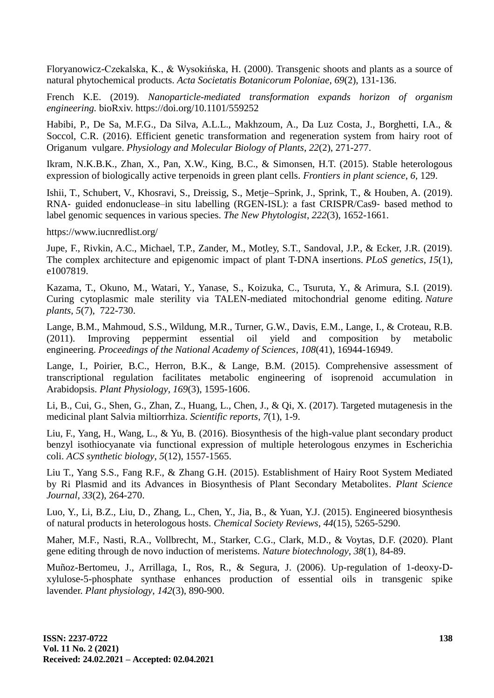Floryanowicz-Czekalska, K., & Wysokińska, H. (2000). Transgenic shoots and plants as a source of natural phytochemical products. *Acta Societatis Botanicorum Poloniae*, *69*(2), 131-136.

French K.E. (2019). *Nanoparticle-mediated transformation expands horizon of organism engineering.* bioRxiv. https://doi.org/10.1101/559252

Habibi, P., De Sa, M.F.G., Da Silva, A.L.L., Makhzoum, A., Da Luz Costa, J., Borghetti, I.A., & Soccol, C.R. (2016). Efficient genetic transformation and regeneration system from hairy root of Origanum vulgare. *Physiology and Molecular Biology of Plants*, *22*(2), 271-277.

Ikram, N.K.B.K., Zhan, X., Pan, X.W., King, B.C., & Simonsen, H.T. (2015). Stable heterologous expression of biologically active terpenoids in green plant cells. *Frontiers in plant science*, *6*, 129.

Ishii, T., Schubert, V., Khosravi, S., Dreissig, S., Metje-Sprink, J., Sprink, T., & Houben, A. (2019). RNA‐ guided endonuclease–in situ labelling (RGEN-ISL): a fast CRISPR/Cas9‐ based method to label genomic sequences in various species. *The New Phytologist*, *222*(3), 1652-1661.

<https://www.iucnredlist.org/>

Jupe, F., Rivkin, A.C., Michael, T.P., Zander, M., Motley, S.T., Sandoval, J.P., & Ecker, J.R. (2019). The complex architecture and epigenomic impact of plant T-DNA insertions. *PLoS genetics*, *15*(1), e1007819.

Kazama, T., Okuno, M., Watari, Y., Yanase, S., Koizuka, C., Tsuruta, Y., & Arimura, S.I. (2019). Curing cytoplasmic male sterility via TALEN-mediated mitochondrial genome editing. *Nature plants*, *5*(7), 722-730.

Lange, B.M., Mahmoud, S.S., Wildung, M.R., Turner, G.W., Davis, E.M., Lange, I., & Croteau, R.B. (2011). Improving peppermint essential oil yield and composition by metabolic engineering. *Proceedings of the National Academy of Sciences*, *108*(41), 16944-16949.

Lange, I., Poirier, B.C., Herron, B.K., & Lange, B.M. (2015). Comprehensive assessment of transcriptional regulation facilitates metabolic engineering of isoprenoid accumulation in Arabidopsis. *Plant Physiology*, *169*(3), 1595-1606.

Li, B., Cui, G., Shen, G., Zhan, Z., Huang, L., Chen, J., & Qi, X. (2017). Targeted mutagenesis in the medicinal plant Salvia miltiorrhiza. *Scientific reports*, *7*(1), 1-9.

Liu, F., Yang, H., Wang, L., & Yu, B. (2016). Biosynthesis of the high-value plant secondary product benzyl isothiocyanate via functional expression of multiple heterologous enzymes in Escherichia coli. *ACS synthetic biology*, *5*(12), 1557-1565.

Liu T., Yang S.S., Fang R.F., & Zhang G.H. (2015). Establishment of Hairy Root System Mediated by Ri Plasmid and its Advances in Biosynthesis of Plant Secondary Metabolites. *Plant Science Journal*, *33*(2), 264-270.

Luo, Y., Li, B.Z., Liu, D., Zhang, L., Chen, Y., Jia, B., & Yuan, Y.J. (2015). Engineered biosynthesis of natural products in heterologous hosts. *Chemical Society Reviews*, *44*(15), 5265-5290.

Maher, M.F., Nasti, R.A., Vollbrecht, M., Starker, C.G., Clark, M.D., & Voytas, D.F. (2020). Plant gene editing through de novo induction of meristems. *Nature biotechnology*, *38*(1), 84-89.

Muñoz-Bertomeu, J., Arrillaga, I., Ros, R., & Segura, J. (2006). Up-regulation of 1-deoxy-Dxylulose-5-phosphate synthase enhances production of essential oils in transgenic spike lavender. *Plant physiology*, *142*(3), 890-900.